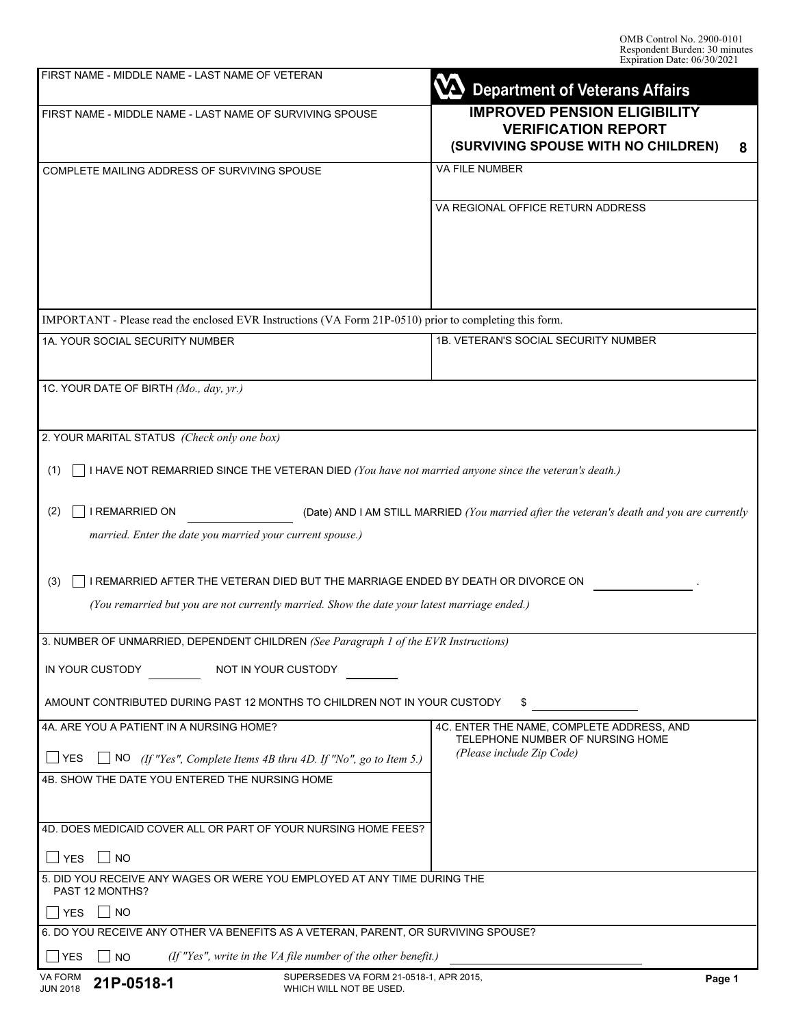| FIRST NAME - MIDDLE NAME - LAST NAME OF VETERAN                                                                                                                                         | <b>Department of Veterans Affairs</b>                                                                         |  |  |
|-----------------------------------------------------------------------------------------------------------------------------------------------------------------------------------------|---------------------------------------------------------------------------------------------------------------|--|--|
| FIRST NAME - MIDDLE NAME - LAST NAME OF SURVIVING SPOUSE                                                                                                                                | <b>IMPROVED PENSION ELIGIBILITY</b><br><b>VERIFICATION REPORT</b><br>(SURVIVING SPOUSE WITH NO CHILDREN)<br>8 |  |  |
| COMPLETE MAILING ADDRESS OF SURVIVING SPOUSE                                                                                                                                            | <b>VA FILE NUMBER</b>                                                                                         |  |  |
|                                                                                                                                                                                         | VA REGIONAL OFFICE RETURN ADDRESS                                                                             |  |  |
| IMPORTANT - Please read the enclosed EVR Instructions (VA Form 21P-0510) prior to completing this form.                                                                                 |                                                                                                               |  |  |
| 1A. YOUR SOCIAL SECURITY NUMBER                                                                                                                                                         | 1B. VETERAN'S SOCIAL SECURITY NUMBER                                                                          |  |  |
| 1C. YOUR DATE OF BIRTH (Mo., day, yr.)                                                                                                                                                  |                                                                                                               |  |  |
| 2. YOUR MARITAL STATUS (Check only one box)                                                                                                                                             |                                                                                                               |  |  |
| I HAVE NOT REMARRIED SINCE THE VETERAN DIED (You have not married anyone since the veteran's death.)<br>(1)                                                                             |                                                                                                               |  |  |
| I REMARRIED ON<br>(2)<br>married. Enter the date you married your current spouse.)                                                                                                      | (Date) AND I AM STILL MARRIED (You married after the veteran's death and you are currently                    |  |  |
| I REMARRIED AFTER THE VETERAN DIED BUT THE MARRIAGE ENDED BY DEATH OR DIVORCE ON<br>(3)<br>(You remarried but you are not currently married. Show the date your latest marriage ended.) |                                                                                                               |  |  |
| 3. NUMBER OF UNMARRIED, DEPENDENT CHILDREN (See Paragraph 1 of the EVR Instructions)                                                                                                    |                                                                                                               |  |  |
| IN YOUR CUSTODY<br>NOT IN YOUR CUSTODY                                                                                                                                                  |                                                                                                               |  |  |
| AMOUNT CONTRIBUTED DURING PAST 12 MONTHS TO CHILDREN NOT IN YOUR CUSTODY                                                                                                                | \$                                                                                                            |  |  |
| 4A. ARE YOU A PATIENT IN A NURSING HOME?                                                                                                                                                | 4C. ENTER THE NAME, COMPLETE ADDRESS, AND<br>TELEPHONE NUMBER OF NURSING HOME<br>(Please include Zip Code)    |  |  |
| $\Box$ YES<br>NO (If "Yes", Complete Items 4B thru 4D. If "No", go to Item 5.)                                                                                                          |                                                                                                               |  |  |
| 4B. SHOW THE DATE YOU ENTERED THE NURSING HOME                                                                                                                                          |                                                                                                               |  |  |
| 4D. DOES MEDICAID COVER ALL OR PART OF YOUR NURSING HOME FEES?                                                                                                                          |                                                                                                               |  |  |
| <b>NO</b><br>∣ ∣YES                                                                                                                                                                     |                                                                                                               |  |  |
| 5. DID YOU RECEIVE ANY WAGES OR WERE YOU EMPLOYED AT ANY TIME DURING THE<br><b>PAST 12 MONTHS?</b>                                                                                      |                                                                                                               |  |  |
| <b>YES</b><br>$\overline{\phantom{a}}$ NO                                                                                                                                               |                                                                                                               |  |  |
| 6. DO YOU RECEIVE ANY OTHER VA BENEFITS AS A VETERAN, PARENT, OR SURVIVING SPOUSE?                                                                                                      |                                                                                                               |  |  |
| (If "Yes", write in the VA file number of the other benefit.)<br>YES<br><b>NO</b>                                                                                                       |                                                                                                               |  |  |
| SUPERSEDES VA FORM 21-0518-1, APR 2015,<br>VA FORM<br>21P-0518-1<br><b>JUN 2018</b><br>WHICH WILL NOT BE USED.                                                                          | Page 1                                                                                                        |  |  |